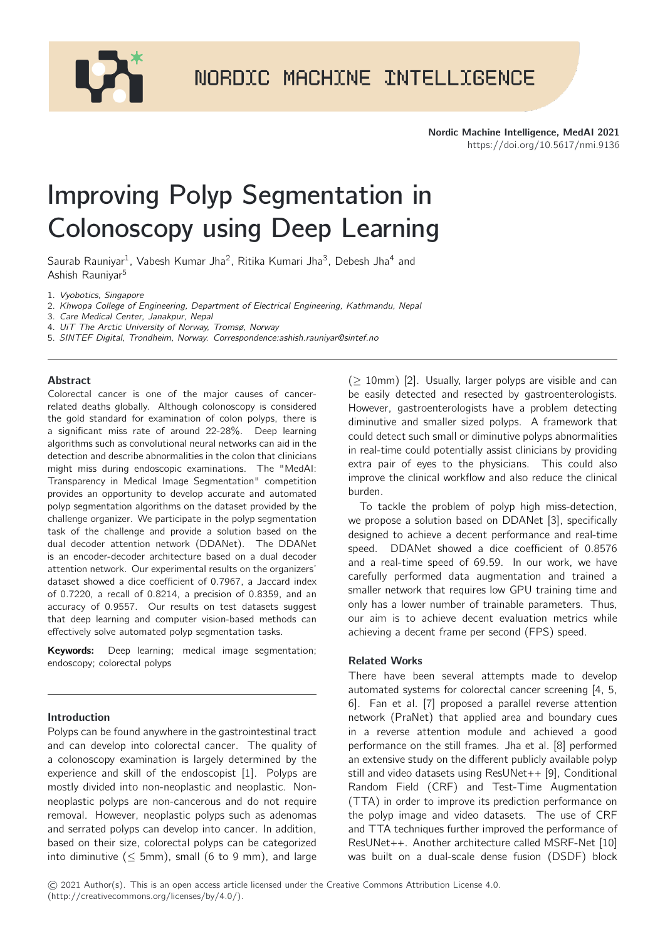

# Improving Polyp Segmentation in Colonoscopy using Deep Learning

Saurab Rauniyar<sup>1</sup>, Vabesh Kumar Jha<sup>2</sup>, Ritika Kumari Jha<sup>3</sup>, Debesh Jha<sup>4</sup> and Ashish Rauniyar<sup>5</sup>

1. Vyobotics, Singapore

2. Khwopa College of Engineering, Department of Electrical Engineering, Kathmandu, Nepal

3. Care Medical Center, Janakpur, Nepal

4. UiT The Arctic University of Norway, Tromsø, Norway

5. SINTEF Digital, Trondheim, Norway. Correspondence:ashish.rauniyar@sintef.no

# Abstract

Colorectal cancer is one of the major causes of cancerrelated deaths globally. Although colonoscopy is considered the gold standard for examination of colon polyps, there is a significant miss rate of around 22-28%. Deep learning algorithms such as convolutional neural networks can aid in the detection and describe abnormalities in the colon that clinicians might miss during endoscopic examinations. The "MedAI: Transparency in Medical Image Segmentation" competition provides an opportunity to develop accurate and automated polyp segmentation algorithms on the dataset provided by the challenge organizer. We participate in the polyp segmentation task of the challenge and provide a solution based on the dual decoder attention network (DDANet). The DDANet is an encoder-decoder architecture based on a dual decoder attention network. Our experimental results on the organizers' dataset showed a dice coefficient of 0.7967, a Jaccard index of 0.7220, a recall of 0.8214, a precision of 0.8359, and an accuracy of 0.9557. Our results on test datasets suggest that deep learning and computer vision-based methods can effectively solve automated polyp segmentation tasks.

Keywords: Deep learning; medical image segmentation; endoscopy; colorectal polyps

# Introduction

Polyps can be found anywhere in the gastrointestinal tract and can develop into colorectal cancer. The quality of a colonoscopy examination is largely determined by the experience and skill of the endoscopist [\[1\]](#page-2-1). Polyps are mostly divided into non-neoplastic and neoplastic. Nonneoplastic polyps are non-cancerous and do not require removal. However, neoplastic polyps such as adenomas and serrated polyps can develop into cancer. In addition, based on their size, colorectal polyps can be categorized into diminutive ( $\leq$  5mm), small (6 to 9 mm), and large

 $(> 10$ mm) [\[2\]](#page-2-2). Usually, larger polyps are visible and can be easily detected and resected by gastroenterologists. However, gastroenterologists have a problem detecting diminutive and smaller sized polyps. A framework that could detect such small or diminutive polyps abnormalities in real-time could potentially assist clinicians by providing extra pair of eyes to the physicians. This could also improve the clinical workflow and also reduce the clinical burden.

To tackle the problem of polyp high miss-detection, we propose a solution based on DDANet [\[3\]](#page-2-3), specifically designed to achieve a decent performance and real-time speed. DDANet showed a dice coefficient of 0.8576 and a real-time speed of 69.59. In our work, we have carefully performed data augmentation and trained a smaller network that requires low GPU training time and only has a lower number of trainable parameters. Thus, our aim is to achieve decent evaluation metrics while achieving a decent frame per second (FPS) speed.

# Related Works

There have been several attempts made to develop automated systems for colorectal cancer screening [\[4,](#page-2-4) [5,](#page-2-5) [6\]](#page-2-6). Fan et al. [\[7\]](#page-2-7) proposed a parallel reverse attention network (PraNet) that applied area and boundary cues in a reverse attention module and achieved a good performance on the still frames. Jha et al. [\[8\]](#page-2-8) performed an extensive study on the different publicly available polyp still and video datasets using ResUNet++ [\[9\]](#page-2-9), Conditional Random Field (CRF) and Test-Time Augmentation (TTA) in order to improve its prediction performance on the polyp image and video datasets. The use of CRF and TTA techniques further improved the performance of ResUNet++. Another architecture called MSRF-Net [\[10\]](#page-2-10) was built on a dual-scale dense fusion (DSDF) block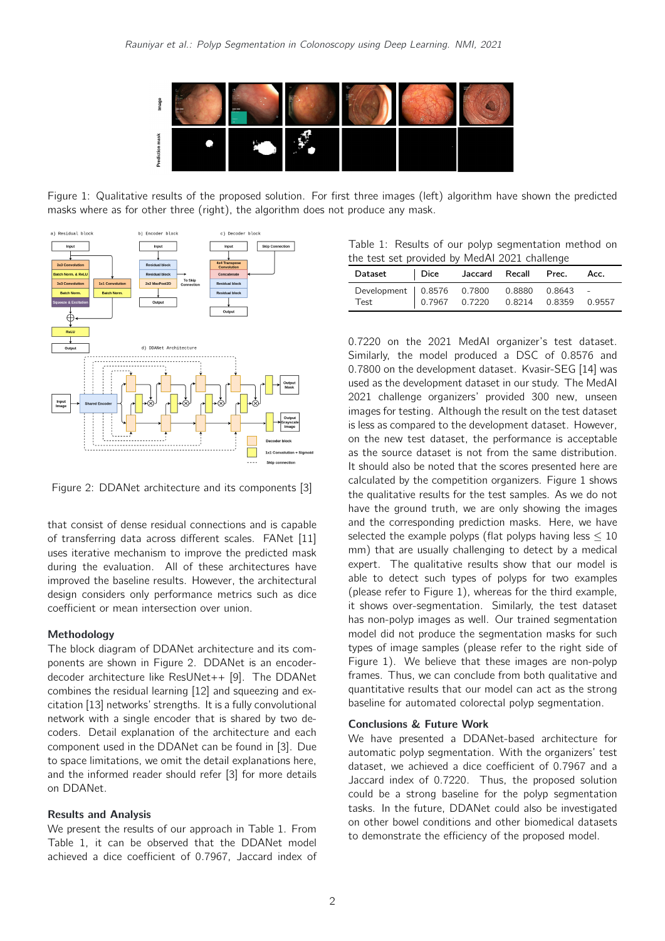

Figure 1: Qualitative results of the proposed solution. For first three images (left) algorithm have shown the predicted masks where as for other three (right), the algorithm does not produce any mask.

<span id="page-1-2"></span>

<span id="page-1-0"></span>Figure 2: DDANet architecture and its components [\[3\]](#page-2-3)

that consist of dense residual connections and is capable of transferring data across different scales. FANet [\[11\]](#page-2-11) uses iterative mechanism to improve the predicted mask during the evaluation. All of these architectures have improved the baseline results. However, the architectural design considers only performance metrics such as dice coefficient or mean intersection over union.

#### Methodology

The block diagram of DDANet architecture and its components are shown in Figure [2.](#page-1-0) DDANet is an encoderdecoder architecture like ResUNet++ [\[9\]](#page-2-9). The DDANet combines the residual learning [\[12\]](#page-2-12) and squeezing and excitation [\[13\]](#page-2-13) networks' strengths. It is a fully convolutional network with a single encoder that is shared by two decoders. Detail explanation of the architecture and each component used in the DDANet can be found in [\[3\]](#page-2-3). Due to space limitations, we omit the detail explanations here, and the informed reader should refer [\[3\]](#page-2-3) for more details on DDANet.

# Results and Analysis

We present the results of our approach in Table [1.](#page-1-1) From Table [1,](#page-1-1) it can be observed that the DDANet model achieved a dice coefficient of 0.7967, Jaccard index of

<span id="page-1-1"></span>Table 1: Results of our polyp segmentation method on the test set provided by MedAI 2021 challenge

| Dataset                                           | Dice | Jaccard Recall Prec.                   |  | Acc. |
|---------------------------------------------------|------|----------------------------------------|--|------|
| Development 0.8576 0.7800 0.8880 0.8643 -<br>Test |      | 0.7967  0.7220  0.8214  0.8359  0.9557 |  |      |
|                                                   |      |                                        |  |      |

0.7220 on the 2021 MedAI organizer's test dataset. Similarly, the model produced a DSC of 0.8576 and 0.7800 on the development dataset. Kvasir-SEG [\[14\]](#page-2-14) was used as the development dataset in our study. The MedAI 2021 challenge organizers' provided 300 new, unseen images for testing. Although the result on the test dataset is less as compared to the development dataset. However, on the new test dataset, the performance is acceptable as the source dataset is not from the same distribution. It should also be noted that the scores presented here are calculated by the competition organizers. Figure [1](#page-1-2) shows the qualitative results for the test samples. As we do not have the ground truth, we are only showing the images and the corresponding prediction masks. Here, we have selected the example polyps (flat polyps having less  $\leq 10$ ) mm) that are usually challenging to detect by a medical expert. The qualitative results show that our model is able to detect such types of polyps for two examples (please refer to Figure [1\)](#page-1-2), whereas for the third example, it shows over-segmentation. Similarly, the test dataset has non-polyp images as well. Our trained segmentation model did not produce the segmentation masks for such types of image samples (please refer to the right side of Figure [1\)](#page-1-2). We believe that these images are non-polyp frames. Thus, we can conclude from both qualitative and quantitative results that our model can act as the strong baseline for automated colorectal polyp segmentation.

#### Conclusions & Future Work

We have presented a DDANet-based architecture for automatic polyp segmentation. With the organizers' test dataset, we achieved a dice coefficient of 0.7967 and a Jaccard index of 0.7220. Thus, the proposed solution could be a strong baseline for the polyp segmentation tasks. In the future, DDANet could also be investigated on other bowel conditions and other biomedical datasets to demonstrate the efficiency of the proposed model.